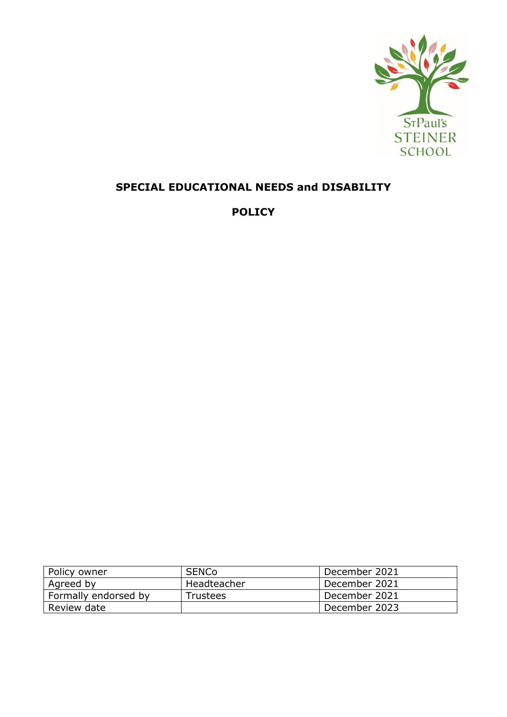

# **SPECIAL EDUCATIONAL NEEDS and DISABILITY**

**POLICY**

| Policy owner         | <b>SENCo</b> | December 2021 |
|----------------------|--------------|---------------|
| Agreed by            | Headteacher  | December 2021 |
| Formally endorsed by | Trustees     | December 2021 |
| Review date          |              | December 2023 |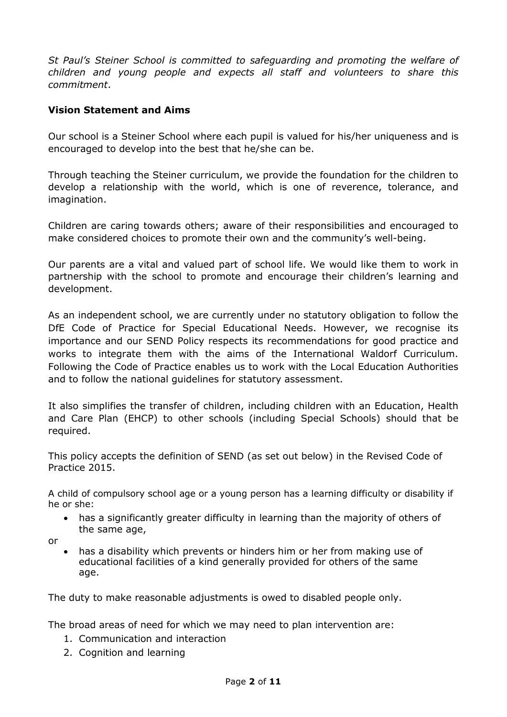*St Paul's Steiner School is committed to safeguarding and promoting the welfare of children and young people and expects all staff and volunteers to share this commitment*.

### **Vision Statement and Aims**

Our school is a Steiner School where each pupil is valued for his/her uniqueness and is encouraged to develop into the best that he/she can be.

Through teaching the Steiner curriculum, we provide the foundation for the children to develop a relationship with the world, which is one of reverence, tolerance, and imagination.

Children are caring towards others; aware of their responsibilities and encouraged to make considered choices to promote their own and the community's well-being.

Our parents are a vital and valued part of school life. We would like them to work in partnership with the school to promote and encourage their children's learning and development.

As an independent school, we are currently under no statutory obligation to follow the DfE Code of Practice for Special Educational Needs. However, we recognise its importance and our SEND Policy respects its recommendations for good practice and works to integrate them with the aims of the International Waldorf Curriculum. Following the Code of Practice enables us to work with the Local Education Authorities and to follow the national guidelines for statutory assessment.

It also simplifies the transfer of children, including children with an Education, Health and Care Plan (EHCP) to other schools (including Special Schools) should that be required.

This policy accepts the definition of SEND (as set out below) in the Revised Code of Practice 2015.

A child of compulsory school age or a young person has a learning difficulty or disability if he or she:

- has a significantly greater difficulty in learning than the majority of others of the same age,
- or
	- has a disability which prevents or hinders him or her from making use of educational facilities of a kind generally provided for others of the same age.

The duty to make reasonable adjustments is owed to disabled people only.

The broad areas of need for which we may need to plan intervention are:

- 1. Communication and interaction
- 2. Cognition and learning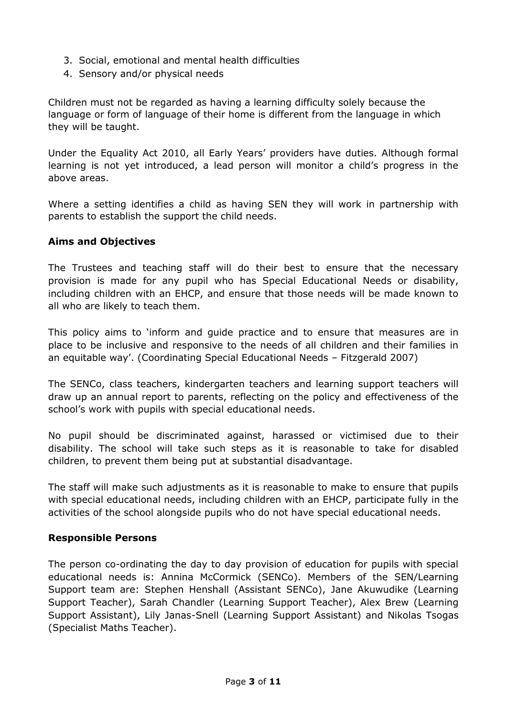- 3. Social, emotional and mental health difficulties
- 4. Sensory and/or physical needs

Children must not be regarded as having a learning difficulty solely because the language or form of language of their home is different from the language in which they will be taught.

Under the Equality Act 2010, all Early Years' providers have duties. Although formal learning is not yet introduced, a lead person will monitor a child's progress in the above areas.

Where a setting identifies a child as having SEN they will work in partnership with parents to establish the support the child needs.

#### **Aims and Objectives**

The Trustees and teaching staff will do their best to ensure that the necessary provision is made for any pupil who has Special Educational Needs or disability, including children with an EHCP, and ensure that those needs will be made known to all who are likely to teach them.

This policy aims to 'inform and guide practice and to ensure that measures are in place to be inclusive and responsive to the needs of all children and their families in an equitable way'. (Coordinating Special Educational Needs – Fitzgerald 2007)

The SENCo, class teachers, kindergarten teachers and learning support teachers will draw up an annual report to parents, reflecting on the policy and effectiveness of the school's work with pupils with special educational needs.

No pupil should be discriminated against, harassed or victimised due to their disability. The school will take such steps as it is reasonable to take for disabled children, to prevent them being put at substantial disadvantage.

The staff will make such adjustments as it is reasonable to make to ensure that pupils with special educational needs, including children with an EHCP, participate fully in the activities of the school alongside pupils who do not have special educational needs.

#### **Responsible Persons**

The person co-ordinating the day to day provision of education for pupils with special educational needs is: Annina McCormick (SENCo). Members of the SEN/Learning Support team are: Stephen Henshall (Assistant SENCo), Jane Akuwudike (Learning Support Teacher), Sarah Chandler (Learning Support Teacher), Alex Brew (Learning Support Assistant), Lily Janas-Snell (Learning Support Assistant) and Nikolas Tsogas (Specialist Maths Teacher).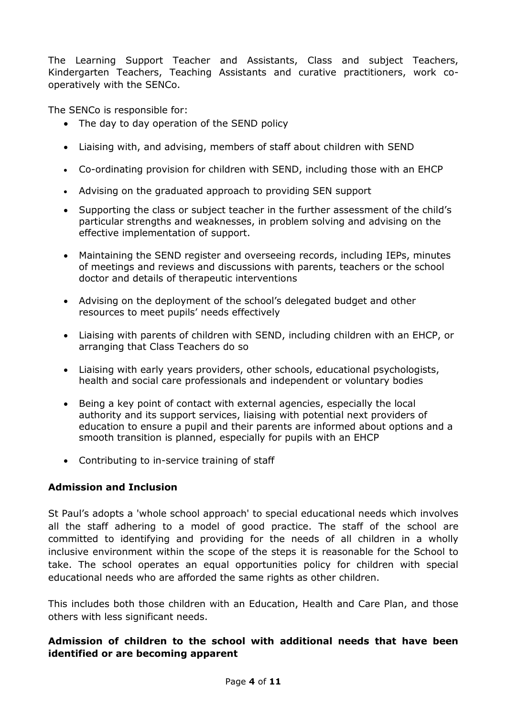The Learning Support Teacher and Assistants, Class and subject Teachers, Kindergarten Teachers, Teaching Assistants and curative practitioners, work cooperatively with the SENCo.

The SENCo is responsible for:

- The day to day operation of the SEND policy
- Liaising with, and advising, members of staff about children with SEND
- Co-ordinating provision for children with SEND, including those with an EHCP
- Advising on the graduated approach to providing SEN support
- Supporting the class or subject teacher in the further assessment of the child's particular strengths and weaknesses, in problem solving and advising on the effective implementation of support.
- Maintaining the SEND register and overseeing records, including IEPs, minutes of meetings and reviews and discussions with parents, teachers or the school doctor and details of therapeutic interventions
- Advising on the deployment of the school's delegated budget and other resources to meet pupils' needs effectively
- Liaising with parents of children with SEND, including children with an EHCP, or arranging that Class Teachers do so
- Liaising with early years providers, other schools, educational psychologists, health and social care professionals and independent or voluntary bodies
- Being a key point of contact with external agencies, especially the local authority and its support services, liaising with potential next providers of education to ensure a pupil and their parents are informed about options and a smooth transition is planned, especially for pupils with an EHCP
- Contributing to in-service training of staff

#### **Admission and Inclusion**

St Paul's adopts a 'whole school approach' to special educational needs which involves all the staff adhering to a model of good practice. The staff of the school are committed to identifying and providing for the needs of all children in a wholly inclusive environment within the scope of the steps it is reasonable for the School to take. The school operates an equal opportunities policy for children with special educational needs who are afforded the same rights as other children.

This includes both those children with an Education, Health and Care Plan, and those others with less significant needs.

#### **Admission of children to the school with additional needs that have been identified or are becoming apparent**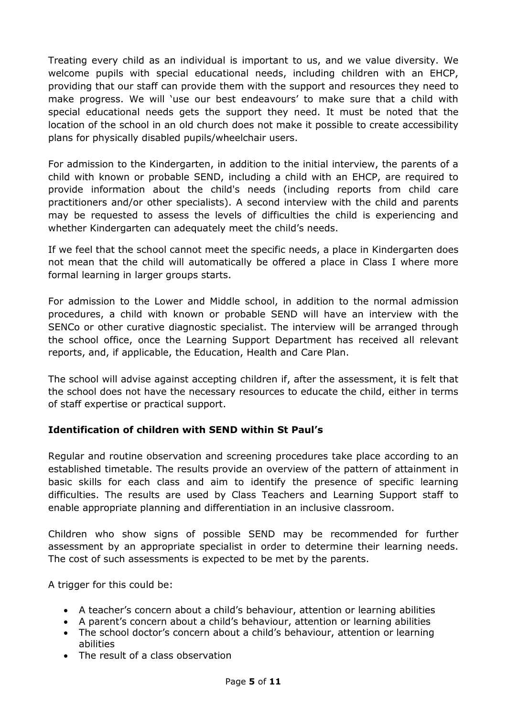Treating every child as an individual is important to us, and we value diversity. We welcome pupils with special educational needs, including children with an EHCP, providing that our staff can provide them with the support and resources they need to make progress. We will 'use our best endeavours' to make sure that a child with special educational needs gets the support they need. It must be noted that the location of the school in an old church does not make it possible to create accessibility plans for physically disabled pupils/wheelchair users.

For admission to the Kindergarten, in addition to the initial interview, the parents of a child with known or probable SEND, including a child with an EHCP, are required to provide information about the child's needs (including reports from child care practitioners and/or other specialists). A second interview with the child and parents may be requested to assess the levels of difficulties the child is experiencing and whether Kindergarten can adequately meet the child's needs.

If we feel that the school cannot meet the specific needs, a place in Kindergarten does not mean that the child will automatically be offered a place in Class I where more formal learning in larger groups starts.

For admission to the Lower and Middle school, in addition to the normal admission procedures, a child with known or probable SEND will have an interview with the SENCo or other curative diagnostic specialist. The interview will be arranged through the school office, once the Learning Support Department has received all relevant reports, and, if applicable, the Education, Health and Care Plan.

The school will advise against accepting children if, after the assessment, it is felt that the school does not have the necessary resources to educate the child, either in terms of staff expertise or practical support.

## **Identification of children with SEND within St Paul's**

Regular and routine observation and screening procedures take place according to an established timetable. The results provide an overview of the pattern of attainment in basic skills for each class and aim to identify the presence of specific learning difficulties. The results are used by Class Teachers and Learning Support staff to enable appropriate planning and differentiation in an inclusive classroom.

Children who show signs of possible SEND may be recommended for further assessment by an appropriate specialist in order to determine their learning needs. The cost of such assessments is expected to be met by the parents.

A trigger for this could be:

- A teacher's concern about a child's behaviour, attention or learning abilities
- A parent's concern about a child's behaviour, attention or learning abilities
- The school doctor's concern about a child's behaviour, attention or learning abilities
- The result of a class observation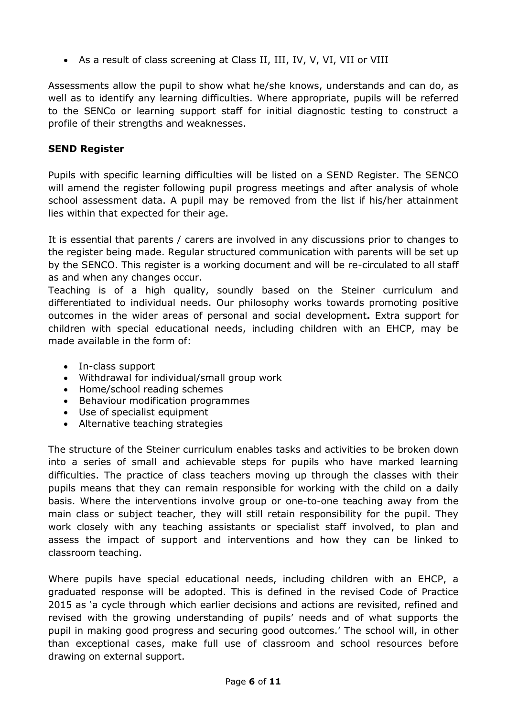• As a result of class screening at Class II, III, IV, V, VI, VII or VIII

Assessments allow the pupil to show what he/she knows, understands and can do, as well as to identify any learning difficulties. Where appropriate, pupils will be referred to the SENCo or learning support staff for initial diagnostic testing to construct a profile of their strengths and weaknesses.

#### **SEND Register**

Pupils with specific learning difficulties will be listed on a SEND Register. The SENCO will amend the register following pupil progress meetings and after analysis of whole school assessment data. A pupil may be removed from the list if his/her attainment lies within that expected for their age.

It is essential that parents / carers are involved in any discussions prior to changes to the register being made. Regular structured communication with parents will be set up by the SENCO. This register is a working document and will be re-circulated to all staff as and when any changes occur.

Teaching is of a high quality, soundly based on the Steiner curriculum and differentiated to individual needs. Our philosophy works towards promoting positive outcomes in the wider areas of personal and social development**.** Extra support for children with special educational needs, including children with an EHCP, may be made available in the form of:

- In-class support
- Withdrawal for individual/small group work
- Home/school reading schemes
- Behaviour modification programmes
- Use of specialist equipment
- Alternative teaching strategies

The structure of the Steiner curriculum enables tasks and activities to be broken down into a series of small and achievable steps for pupils who have marked learning difficulties. The practice of class teachers moving up through the classes with their pupils means that they can remain responsible for working with the child on a daily basis. Where the interventions involve group or one-to-one teaching away from the main class or subject teacher, they will still retain responsibility for the pupil. They work closely with any teaching assistants or specialist staff involved, to plan and assess the impact of support and interventions and how they can be linked to classroom teaching.

Where pupils have special educational needs, including children with an EHCP, a graduated response will be adopted. This is defined in the revised Code of Practice 2015 as 'a cycle through which earlier decisions and actions are revisited, refined and revised with the growing understanding of pupils' needs and of what supports the pupil in making good progress and securing good outcomes.' The school will, in other than exceptional cases, make full use of classroom and school resources before drawing on external support.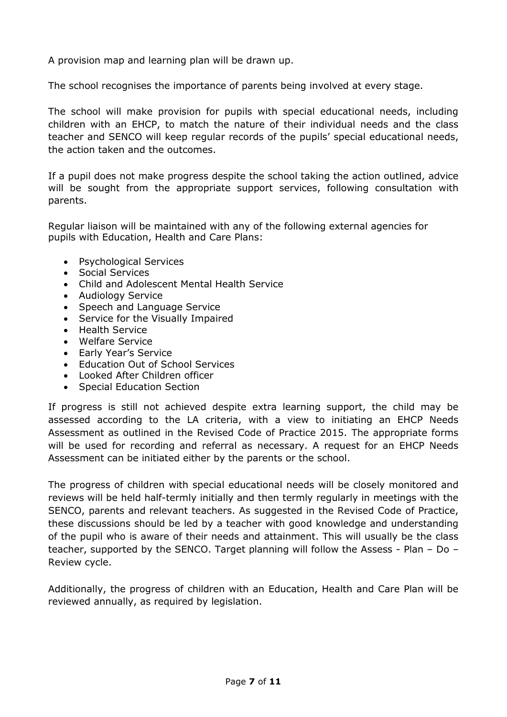A provision map and learning plan will be drawn up.

The school recognises the importance of parents being involved at every stage.

The school will make provision for pupils with special educational needs, including children with an EHCP, to match the nature of their individual needs and the class teacher and SENCO will keep regular records of the pupils' special educational needs, the action taken and the outcomes.

If a pupil does not make progress despite the school taking the action outlined, advice will be sought from the appropriate support services, following consultation with parents.

Regular liaison will be maintained with any of the following external agencies for pupils with Education, Health and Care Plans:

- Psychological Services
- Social Services
- Child and Adolescent Mental Health Service
- Audiology Service
- Speech and Language Service
- Service for the Visually Impaired
- Health Service
- Welfare Service
- Early Year's Service
- Education Out of School Services
- Looked After Children officer
- Special Education Section

If progress is still not achieved despite extra learning support, the child may be assessed according to the LA criteria, with a view to initiating an EHCP Needs Assessment as outlined in the Revised Code of Practice 2015. The appropriate forms will be used for recording and referral as necessary. A request for an EHCP Needs Assessment can be initiated either by the parents or the school.

The progress of children with special educational needs will be closely monitored and reviews will be held half-termly initially and then termly regularly in meetings with the SENCO, parents and relevant teachers. As suggested in the Revised Code of Practice, these discussions should be led by a teacher with good knowledge and understanding of the pupil who is aware of their needs and attainment. This will usually be the class teacher, supported by the SENCO. Target planning will follow the Assess - Plan – Do – Review cycle.

Additionally, the progress of children with an Education, Health and Care Plan will be reviewed annually, as required by legislation.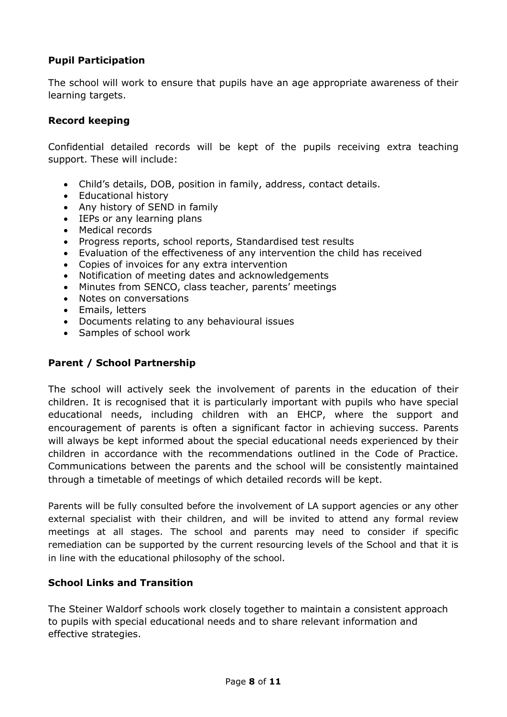## **Pupil Participation**

The school will work to ensure that pupils have an age appropriate awareness of their learning targets.

### **Record keeping**

Confidential detailed records will be kept of the pupils receiving extra teaching support. These will include:

- Child's details, DOB, position in family, address, contact details.
- Educational history
- Any history of SEND in family
- IEPs or any learning plans
- Medical records
- Progress reports, school reports, Standardised test results
- Evaluation of the effectiveness of any intervention the child has received
- Copies of invoices for any extra intervention
- Notification of meeting dates and acknowledgements
- Minutes from SENCO, class teacher, parents' meetings
- Notes on conversations
- Emails, letters
- Documents relating to any behavioural issues
- Samples of school work

## **Parent / School Partnership**

The school will actively seek the involvement of parents in the education of their children. It is recognised that it is particularly important with pupils who have special educational needs, including children with an EHCP, where the support and encouragement of parents is often a significant factor in achieving success. Parents will always be kept informed about the special educational needs experienced by their children in accordance with the recommendations outlined in the Code of Practice. Communications between the parents and the school will be consistently maintained through a timetable of meetings of which detailed records will be kept.

Parents will be fully consulted before the involvement of LA support agencies or any other external specialist with their children, and will be invited to attend any formal review meetings at all stages. The school and parents may need to consider if specific remediation can be supported by the current resourcing levels of the School and that it is in line with the educational philosophy of the school.

#### **School Links and Transition**

The Steiner Waldorf schools work closely together to maintain a consistent approach to pupils with special educational needs and to share relevant information and effective strategies.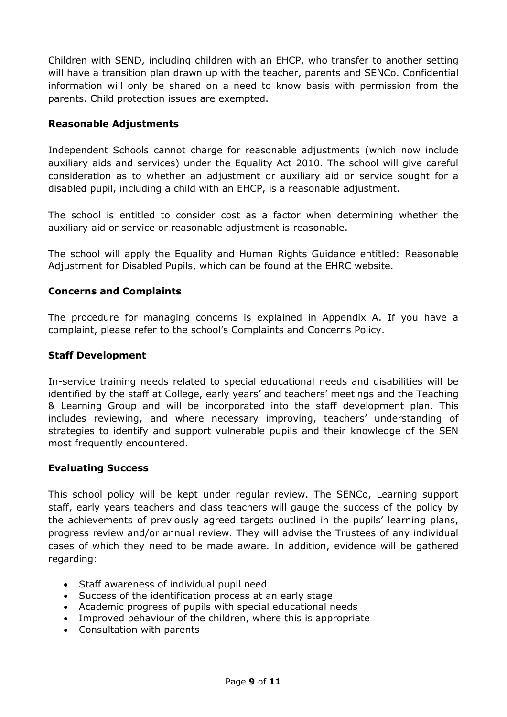Children with SEND, including children with an EHCP, who transfer to another setting will have a transition plan drawn up with the teacher, parents and SENCo. Confidential information will only be shared on a need to know basis with permission from the parents. Child protection issues are exempted.

#### **Reasonable Adjustments**

Independent Schools cannot charge for reasonable adjustments (which now include auxiliary aids and services) under the Equality Act 2010. The school will give careful consideration as to whether an adjustment or auxiliary aid or service sought for a disabled pupil, including a child with an EHCP, is a reasonable adjustment.

The school is entitled to consider cost as a factor when determining whether the auxiliary aid or service or reasonable adjustment is reasonable.

The school will apply the Equality and Human Rights Guidance entitled: Reasonable Adjustment for Disabled Pupils, which can be found at the EHRC website.

### **Concerns and Complaints**

The procedure for managing concerns is explained in Appendix A. If you have a complaint, please refer to the school's Complaints and Concerns Policy.

#### **Staff Development**

In-service training needs related to special educational needs and disabilities will be identified by the staff at College, early years' and teachers' meetings and the Teaching & Learning Group and will be incorporated into the staff development plan. This includes reviewing, and where necessary improving, teachers' understanding of strategies to identify and support vulnerable pupils and their knowledge of the SEN most frequently encountered.

#### **Evaluating Success**

This school policy will be kept under regular review. The SENCo, Learning support staff, early years teachers and class teachers will gauge the success of the policy by the achievements of previously agreed targets outlined in the pupils' learning plans, progress review and/or annual review. They will advise the Trustees of any individual cases of which they need to be made aware. In addition, evidence will be gathered regarding:

- Staff awareness of individual pupil need
- Success of the identification process at an early stage
- Academic progress of pupils with special educational needs
- Improved behaviour of the children, where this is appropriate
- Consultation with parents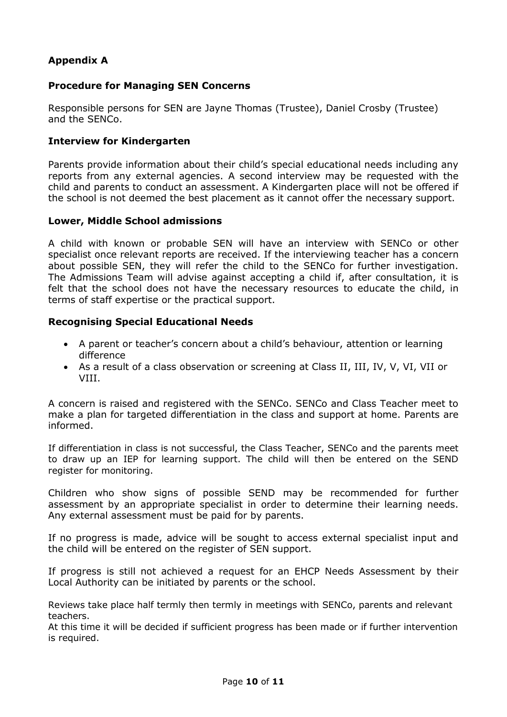# **Appendix A**

#### **Procedure for Managing SEN Concerns**

Responsible persons for SEN are Jayne Thomas (Trustee), Daniel Crosby (Trustee) and the SENCo.

#### **Interview for Kindergarten**

Parents provide information about their child's special educational needs including any reports from any external agencies. A second interview may be requested with the child and parents to conduct an assessment. A Kindergarten place will not be offered if the school is not deemed the best placement as it cannot offer the necessary support.

#### **Lower, Middle School admissions**

A child with known or probable SEN will have an interview with SENCo or other specialist once relevant reports are received. If the interviewing teacher has a concern about possible SEN, they will refer the child to the SENCo for further investigation. The Admissions Team will advise against accepting a child if, after consultation, it is felt that the school does not have the necessary resources to educate the child, in terms of staff expertise or the practical support.

#### **Recognising Special Educational Needs**

- A parent or teacher's concern about a child's behaviour, attention or learning difference
- As a result of a class observation or screening at Class II, III, IV, V, VI, VII or VIII.

A concern is raised and registered with the SENCo. SENCo and Class Teacher meet to make a plan for targeted differentiation in the class and support at home. Parents are informed.

If differentiation in class is not successful, the Class Teacher, SENCo and the parents meet to draw up an IEP for learning support. The child will then be entered on the SEND register for monitoring.

Children who show signs of possible SEND may be recommended for further assessment by an appropriate specialist in order to determine their learning needs. Any external assessment must be paid for by parents.

If no progress is made, advice will be sought to access external specialist input and the child will be entered on the register of SEN support.

If progress is still not achieved a request for an EHCP Needs Assessment by their Local Authority can be initiated by parents or the school.

Reviews take place half termly then termly in meetings with SENCo, parents and relevant teachers.

At this time it will be decided if sufficient progress has been made or if further intervention is required.